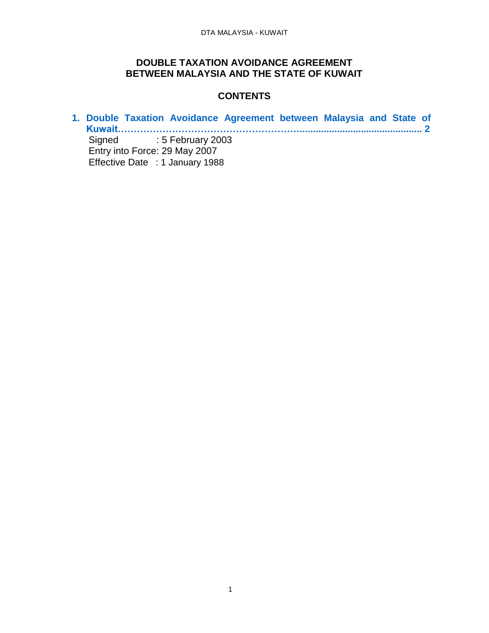## <span id="page-0-0"></span>**DOUBLE TAXATION AVOIDANCE AGREEMENT BETWEEN MALAYSIA AND THE STATE OF KUWAIT**

## **CONTENTS**

**1. [Double Taxation Avoidance Agreement between Malaysia and State of](#page-0-0) [Kuwait………………………………………………….............................................. 2](#page-0-0)** Signed : 5 February 2003 Entry into Force: 29 May 2007 Effective Date : 1 January 1988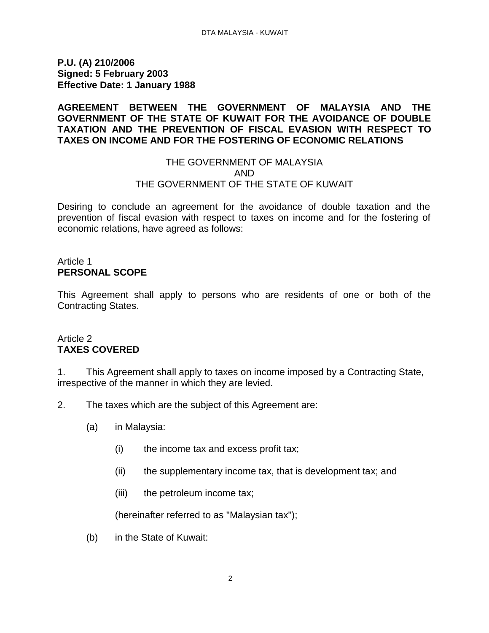**P.U. (A) 210/2006 Signed: 5 February 2003 Effective Date: 1 January 1988**

#### **AGREEMENT BETWEEN THE GOVERNMENT OF MALAYSIA AND THE GOVERNMENT OF THE STATE OF KUWAIT FOR THE AVOIDANCE OF DOUBLE TAXATION AND THE PREVENTION OF FISCAL EVASION WITH RESPECT TO TAXES ON INCOME AND FOR THE FOSTERING OF ECONOMIC RELATIONS**

#### THE GOVERNMENT OF MALAYSIA AND THE GOVERNMENT OF THE STATE OF KUWAIT

Desiring to conclude an agreement for the avoidance of double taxation and the prevention of fiscal evasion with respect to taxes on income and for the fostering of economic relations, have agreed as follows:

#### Article 1 **PERSONAL SCOPE**

This Agreement shall apply to persons who are residents of one or both of the Contracting States.

### Article 2 **TAXES COVERED**

1. This Agreement shall apply to taxes on income imposed by a Contracting State, irrespective of the manner in which they are levied.

- 2. The taxes which are the subject of this Agreement are:
	- (a) in Malaysia:
		- (i) the income tax and excess profit tax;
		- (ii) the supplementary income tax, that is development tax; and
		- (iii) the petroleum income tax;

(hereinafter referred to as "Malaysian tax");

(b) in the State of Kuwait: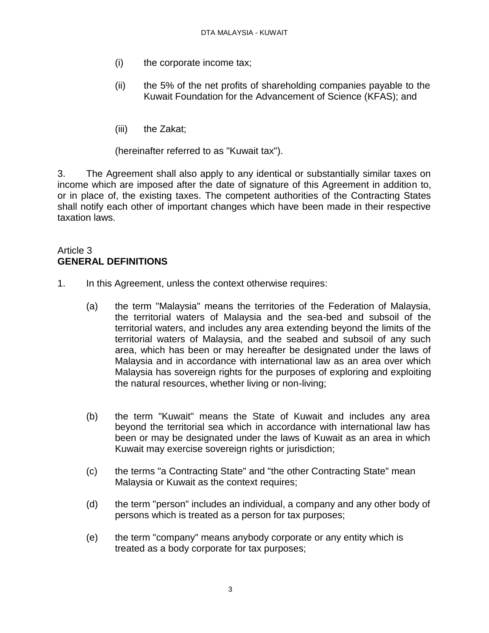- (i) the corporate income tax;
- (ii) the 5% of the net profits of shareholding companies payable to the Kuwait Foundation for the Advancement of Science (KFAS); and
- (iii) the Zakat;

(hereinafter referred to as "Kuwait tax").

3. The Agreement shall also apply to any identical or substantially similar taxes on income which are imposed after the date of signature of this Agreement in addition to, or in place of, the existing taxes. The competent authorities of the Contracting States shall notify each other of important changes which have been made in their respective taxation laws.

### Article 3 **GENERAL DEFINITIONS**

- 1. In this Agreement, unless the context otherwise requires:
	- (a) the term "Malaysia" means the territories of the Federation of Malaysia, the territorial waters of Malaysia and the sea-bed and subsoil of the territorial waters, and includes any area extending beyond the limits of the territorial waters of Malaysia, and the seabed and subsoil of any such area, which has been or may hereafter be designated under the laws of Malaysia and in accordance with international law as an area over which Malaysia has sovereign rights for the purposes of exploring and exploiting the natural resources, whether living or non-living;
	- (b) the term "Kuwait" means the State of Kuwait and includes any area beyond the territorial sea which in accordance with international law has been or may be designated under the laws of Kuwait as an area in which Kuwait may exercise sovereign rights or jurisdiction;
	- (c) the terms "a Contracting State" and "the other Contracting State" mean Malaysia or Kuwait as the context requires;
	- (d) the term "person" includes an individual, a company and any other body of persons which is treated as a person for tax purposes;
	- (e) the term "company" means anybody corporate or any entity which is treated as a body corporate for tax purposes;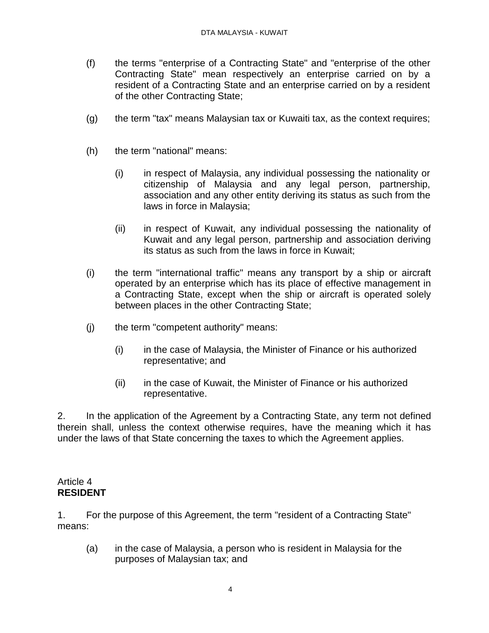- (f) the terms "enterprise of a Contracting State" and "enterprise of the other Contracting State" mean respectively an enterprise carried on by a resident of a Contracting State and an enterprise carried on by a resident of the other Contracting State;
- (g) the term "tax" means Malaysian tax or Kuwaiti tax, as the context requires;
- (h) the term "national" means:
	- (i) in respect of Malaysia, any individual possessing the nationality or citizenship of Malaysia and any legal person, partnership, association and any other entity deriving its status as such from the laws in force in Malaysia;
	- (ii) in respect of Kuwait, any individual possessing the nationality of Kuwait and any legal person, partnership and association deriving its status as such from the laws in force in Kuwait;
- (i) the term "international traffic" means any transport by a ship or aircraft operated by an enterprise which has its place of effective management in a Contracting State, except when the ship or aircraft is operated solely between places in the other Contracting State;
- (j) the term "competent authority" means:
	- (i) in the case of Malaysia, the Minister of Finance or his authorized representative; and
	- (ii) in the case of Kuwait, the Minister of Finance or his authorized representative.

2. In the application of the Agreement by a Contracting State, any term not defined therein shall, unless the context otherwise requires, have the meaning which it has under the laws of that State concerning the taxes to which the Agreement applies.

#### Article 4 **RESIDENT**

1. For the purpose of this Agreement, the term "resident of a Contracting State" means:

(a) in the case of Malaysia, a person who is resident in Malaysia for the purposes of Malaysian tax; and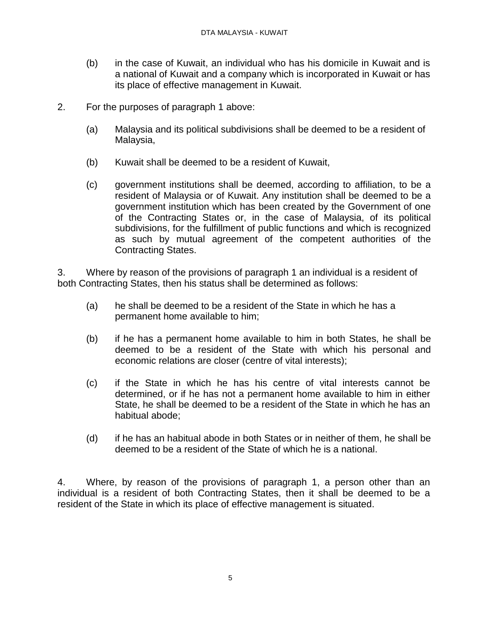- (b) in the case of Kuwait, an individual who has his domicile in Kuwait and is a national of Kuwait and a company which is incorporated in Kuwait or has its place of effective management in Kuwait.
- 2. For the purposes of paragraph 1 above:
	- (a) Malaysia and its political subdivisions shall be deemed to be a resident of Malaysia,
	- (b) Kuwait shall be deemed to be a resident of Kuwait,
	- (c) government institutions shall be deemed, according to affiliation, to be a resident of Malaysia or of Kuwait. Any institution shall be deemed to be a government institution which has been created by the Government of one of the Contracting States or, in the case of Malaysia, of its political subdivisions, for the fulfillment of public functions and which is recognized as such by mutual agreement of the competent authorities of the Contracting States.

3. Where by reason of the provisions of paragraph 1 an individual is a resident of both Contracting States, then his status shall be determined as follows:

- (a) he shall be deemed to be a resident of the State in which he has a permanent home available to him;
- (b) if he has a permanent home available to him in both States, he shall be deemed to be a resident of the State with which his personal and economic relations are closer (centre of vital interests);
- (c) if the State in which he has his centre of vital interests cannot be determined, or if he has not a permanent home available to him in either State, he shall be deemed to be a resident of the State in which he has an habitual abode;
- (d) if he has an habitual abode in both States or in neither of them, he shall be deemed to be a resident of the State of which he is a national.

4. Where, by reason of the provisions of paragraph 1, a person other than an individual is a resident of both Contracting States, then it shall be deemed to be a resident of the State in which its place of effective management is situated.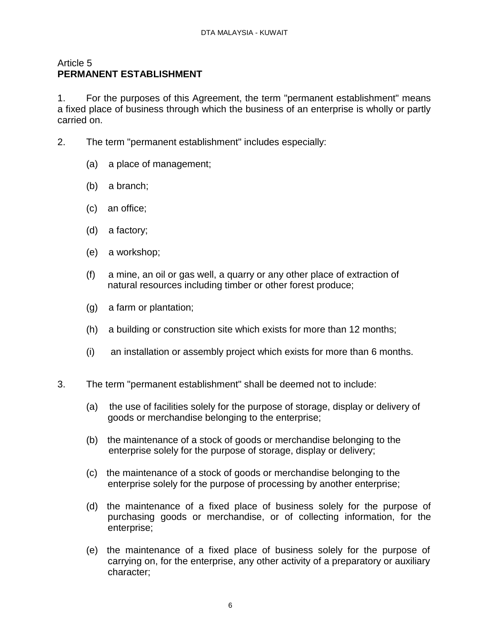#### Article 5 **PERMANENT ESTABLISHMENT**

1. For the purposes of this Agreement, the term "permanent establishment" means a fixed place of business through which the business of an enterprise is wholly or partly carried on.

- 2. The term "permanent establishment" includes especially:
	- (a) a place of management;
	- (b) a branch;
	- (c) an office;
	- (d) a factory;
	- (e) a workshop;
	- (f) a mine, an oil or gas well, a quarry or any other place of extraction of natural resources including timber or other forest produce;
	- (g) a farm or plantation;
	- (h) a building or construction site which exists for more than 12 months;
	- (i) an installation or assembly project which exists for more than 6 months.
- 3. The term "permanent establishment" shall be deemed not to include:
	- (a) the use of facilities solely for the purpose of storage, display or delivery of goods or merchandise belonging to the enterprise;
	- (b) the maintenance of a stock of goods or merchandise belonging to the enterprise solely for the purpose of storage, display or delivery;
	- (c) the maintenance of a stock of goods or merchandise belonging to the enterprise solely for the purpose of processing by another enterprise;
	- (d) the maintenance of a fixed place of business solely for the purpose of purchasing goods or merchandise, or of collecting information, for the enterprise;
	- (e) the maintenance of a fixed place of business solely for the purpose of carrying on, for the enterprise, any other activity of a preparatory or auxiliary character;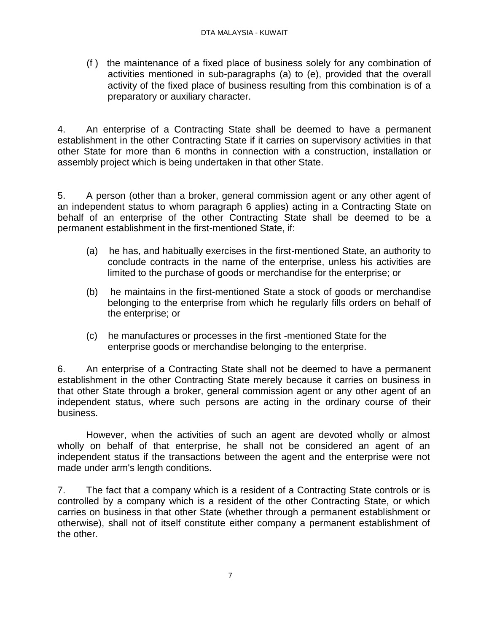(f ) the maintenance of a fixed place of business solely for any combination of activities mentioned in sub-paragraphs (a) to (e), provided that the overall activity of the fixed place of business resulting from this combination is of a preparatory or auxiliary character.

4. An enterprise of a Contracting State shall be deemed to have a permanent establishment in the other Contracting State if it carries on supervisory activities in that other State for more than 6 months in connection with a construction, installation or assembly project which is being undertaken in that other State.

5. A person (other than a broker, general commission agent or any other agent of an independent status to whom paragraph 6 applies) acting in a Contracting State on behalf of an enterprise of the other Contracting State shall be deemed to be a permanent establishment in the first-mentioned State, if:

- (a) he has, and habitually exercises in the first-mentioned State, an authority to conclude contracts in the name of the enterprise, unless his activities are limited to the purchase of goods or merchandise for the enterprise; or
- (b) he maintains in the first-mentioned State a stock of goods or merchandise belonging to the enterprise from which he regularly fills orders on behalf of the enterprise; or
- (c) he manufactures or processes in the first -mentioned State for the enterprise goods or merchandise belonging to the enterprise.

6. An enterprise of a Contracting State shall not be deemed to have a permanent establishment in the other Contracting State merely because it carries on business in that other State through a broker, general commission agent or any other agent of an independent status, where such persons are acting in the ordinary course of their business.

However, when the activities of such an agent are devoted wholly or almost wholly on behalf of that enterprise, he shall not be considered an agent of an independent status if the transactions between the agent and the enterprise were not made under arm's length conditions.

7. The fact that a company which is a resident of a Contracting State controls or is controlled by a company which is a resident of the other Contracting State, or which carries on business in that other State (whether through a permanent establishment or otherwise), shall not of itself constitute either company a permanent establishment of the other.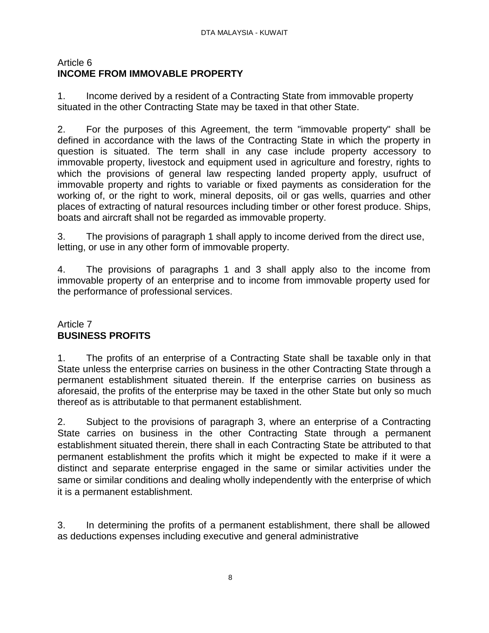## Article 6 **INCOME FROM IMMOVABLE PROPERTY**

1. Income derived by a resident of a Contracting State from immovable property situated in the other Contracting State may be taxed in that other State.

2. For the purposes of this Agreement, the term "immovable property" shall be defined in accordance with the laws of the Contracting State in which the property in question is situated. The term shall in any case include property accessory to immovable property, livestock and equipment used in agriculture and forestry, rights to which the provisions of general law respecting landed property apply, usufruct of immovable property and rights to variable or fixed payments as consideration for the working of, or the right to work, mineral deposits, oil or gas wells, quarries and other places of extracting of natural resources including timber or other forest produce. Ships, boats and aircraft shall not be regarded as immovable property.

3. The provisions of paragraph 1 shall apply to income derived from the direct use, letting, or use in any other form of immovable property.

4. The provisions of paragraphs 1 and 3 shall apply also to the income from immovable property of an enterprise and to income from immovable property used for the performance of professional services.

## Article 7 **BUSINESS PROFITS**

1. The profits of an enterprise of a Contracting State shall be taxable only in that State unless the enterprise carries on business in the other Contracting State through a permanent establishment situated therein. If the enterprise carries on business as aforesaid, the profits of the enterprise may be taxed in the other State but only so much thereof as is attributable to that permanent establishment.

2. Subject to the provisions of paragraph 3, where an enterprise of a Contracting State carries on business in the other Contracting State through a permanent establishment situated therein, there shall in each Contracting State be attributed to that permanent establishment the profits which it might be expected to make if it were a distinct and separate enterprise engaged in the same or similar activities under the same or similar conditions and dealing wholly independently with the enterprise of which it is a permanent establishment.

3. In determining the profits of a permanent establishment, there shall be allowed as deductions expenses including executive and general administrative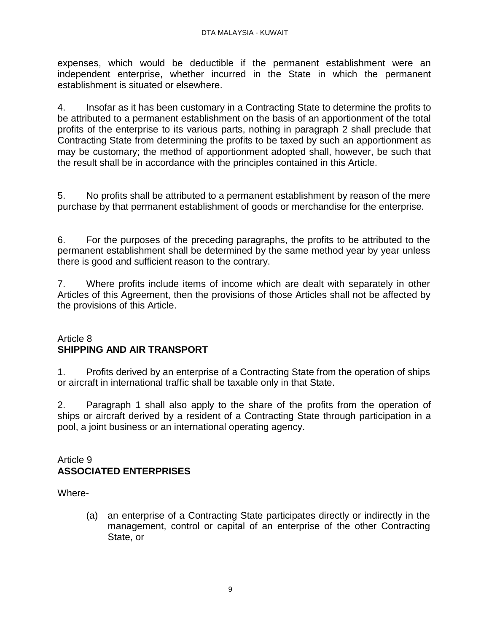expenses, which would be deductible if the permanent establishment were an independent enterprise, whether incurred in the State in which the permanent establishment is situated or elsewhere.

4. Insofar as it has been customary in a Contracting State to determine the profits to be attributed to a permanent establishment on the basis of an apportionment of the total profits of the enterprise to its various parts, nothing in paragraph 2 shall preclude that Contracting State from determining the profits to be taxed by such an apportionment as may be customary; the method of apportionment adopted shall, however, be such that the result shall be in accordance with the principles contained in this Article.

5. No profits shall be attributed to a permanent establishment by reason of the mere purchase by that permanent establishment of goods or merchandise for the enterprise.

6. For the purposes of the preceding paragraphs, the profits to be attributed to the permanent establishment shall be determined by the same method year by year unless there is good and sufficient reason to the contrary.

7. Where profits include items of income which are dealt with separately in other Articles of this Agreement, then the provisions of those Articles shall not be affected by the provisions of this Article.

## Article 8 **SHIPPING AND AIR TRANSPORT**

1. Profits derived by an enterprise of a Contracting State from the operation of ships or aircraft in international traffic shall be taxable only in that State.

2. Paragraph 1 shall also apply to the share of the profits from the operation of ships or aircraft derived by a resident of a Contracting State through participation in a pool, a joint business or an international operating agency.

### Article 9 **ASSOCIATED ENTERPRISES**

Where-

(a) an enterprise of a Contracting State participates directly or indirectly in the management, control or capital of an enterprise of the other Contracting State, or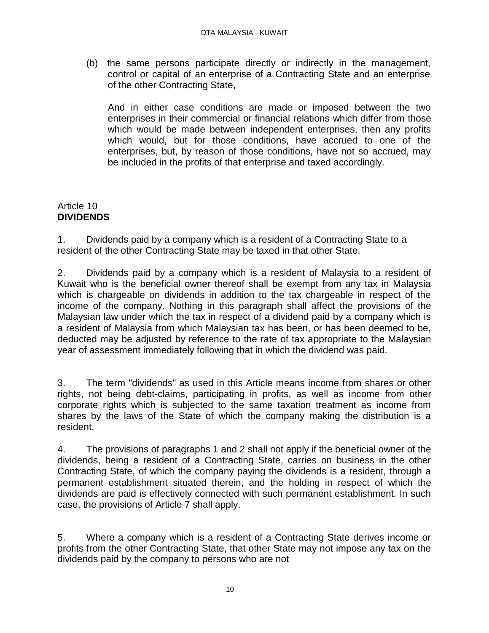(b) the same persons participate directly or indirectly in the management, control or capital of an enterprise of a Contracting State and an enterprise of the other Contracting State,

And in either case conditions are made or imposed between the two enterprises in their commercial or financial relations which differ from those which would be made between independent enterprises, then any profits which would, but for those conditions, have accrued to one of the enterprises, but, by reason of those conditions, have not so accrued, may be included in the profits of that enterprise and taxed accordingly.

## Article 10 **DIVIDENDS**

1. Dividends paid by a company which is a resident of a Contracting State to a resident of the other Contracting State may be taxed in that other State.

2. Dividends paid by a company which is a resident of Malaysia to a resident of Kuwait who is the beneficial owner thereof shall be exempt from any tax in Malaysia which is chargeable on dividends in addition to the tax chargeable in respect of the income of the company. Nothing in this paragraph shall affect the provisions of the Malaysian law under which the tax in respect of a dividend paid by a company which is a resident of Malaysia from which Malaysian tax has been, or has been deemed to be, deducted may be adjusted by reference to the rate of tax appropriate to the Malaysian year of assessment immediately following that in which the dividend was paid.

3. The term "dividends" as used in this Article means income from shares or other rights, not being debt-claims, participating in profits, as well as income from other corporate rights which is subjected to the same taxation treatment as income from shares by the laws of the State of which the company making the distribution is a resident.

4. The provisions of paragraphs 1 and 2 shall not apply if the beneficial owner of the dividends, being a resident of a Contracting State, carries on business in the other Contracting State, of which the company paying the dividends is a resident, through a permanent establishment situated therein, and the holding in respect of which the dividends are paid is effectively connected with such permanent establishment. In such case, the provisions of Article 7 shall apply.

5. Where a company which is a resident of a Contracting State derives income or profits from the other Contracting State, that other State may not impose any tax on the dividends paid by the company to persons who are not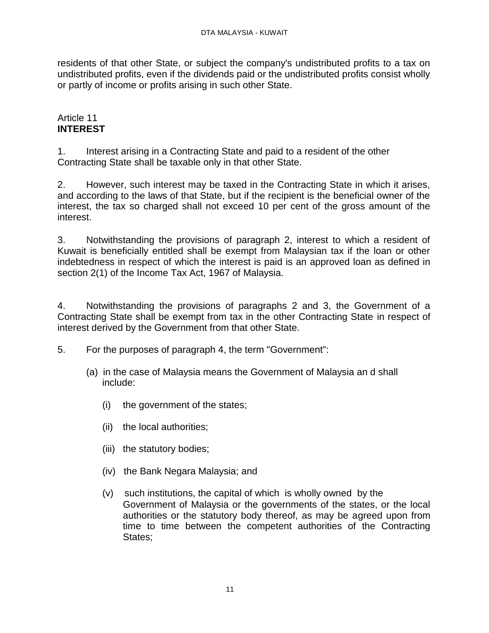residents of that other State, or subject the company's undistributed profits to a tax on undistributed profits, even if the dividends paid or the undistributed profits consist wholly or partly of income or profits arising in such other State.

## Article 11 **INTEREST**

1. Interest arising in a Contracting State and paid to a resident of the other Contracting State shall be taxable only in that other State.

2. However, such interest may be taxed in the Contracting State in which it arises, and according to the laws of that State, but if the recipient is the beneficial owner of the interest, the tax so charged shall not exceed 10 per cent of the gross amount of the interest.

3. Notwithstanding the provisions of paragraph 2, interest to which a resident of Kuwait is beneficially entitled shall be exempt from Malaysian tax if the loan or other indebtedness in respect of which the interest is paid is an approved loan as defined in section 2(1) of the Income Tax Act, 1967 of Malaysia.

4. Notwithstanding the provisions of paragraphs 2 and 3, the Government of a Contracting State shall be exempt from tax in the other Contracting State in respect of interest derived by the Government from that other State.

- 5. For the purposes of paragraph 4, the term "Government":
	- (a) in the case of Malaysia means the Government of Malaysia an d shall include:
		- (i) the government of the states;
		- (ii) the local authorities;
		- (iii) the statutory bodies;
		- (iv) the Bank Negara Malaysia; and
		- (v) such institutions, the capital of which is wholly owned by the Government of Malaysia or the governments of the states, or the local authorities or the statutory body thereof, as may be agreed upon from time to time between the competent authorities of the Contracting States;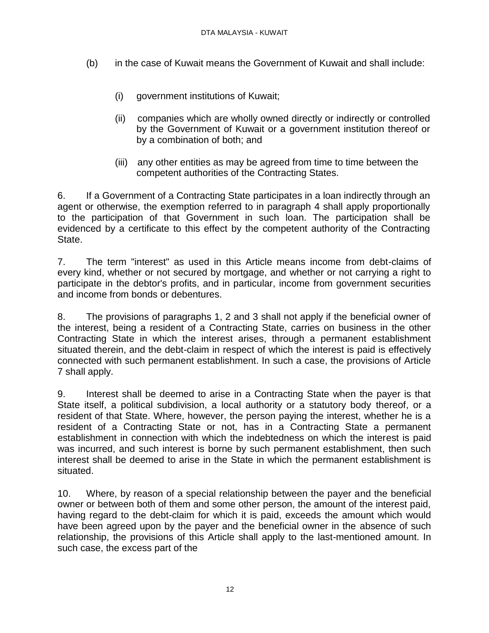- (b) in the case of Kuwait means the Government of Kuwait and shall include:
	- (i) government institutions of Kuwait;
	- (ii) companies which are wholly owned directly or indirectly or controlled by the Government of Kuwait or a government institution thereof or by a combination of both; and
	- (iii) any other entities as may be agreed from time to time between the competent authorities of the Contracting States.

6. If a Government of a Contracting State participates in a loan indirectly through an agent or otherwise, the exemption referred to in paragraph 4 shall apply proportionally to the participation of that Government in such loan. The participation shall be evidenced by a certificate to this effect by the competent authority of the Contracting State.

7. The term "interest" as used in this Article means income from debt-claims of every kind, whether or not secured by mortgage, and whether or not carrying a right to participate in the debtor's profits, and in particular, income from government securities and income from bonds or debentures.

8. The provisions of paragraphs 1, 2 and 3 shall not apply if the beneficial owner of the interest, being a resident of a Contracting State, carries on business in the other Contracting State in which the interest arises, through a permanent establishment situated therein, and the debt-claim in respect of which the interest is paid is effectively connected with such permanent establishment. In such a case, the provisions of Article 7 shall apply.

9. Interest shall be deemed to arise in a Contracting State when the payer is that State itself, a political subdivision, a local authority or a statutory body thereof, or a resident of that State. Where, however, the person paying the interest, whether he is a resident of a Contracting State or not, has in a Contracting State a permanent establishment in connection with which the indebtedness on which the interest is paid was incurred, and such interest is borne by such permanent establishment, then such interest shall be deemed to arise in the State in which the permanent establishment is situated.

10. Where, by reason of a special relationship between the payer and the beneficial owner or between both of them and some other person, the amount of the interest paid, having regard to the debt-claim for which it is paid, exceeds the amount which would have been agreed upon by the payer and the beneficial owner in the absence of such relationship, the provisions of this Article shall apply to the last-mentioned amount. In such case, the excess part of the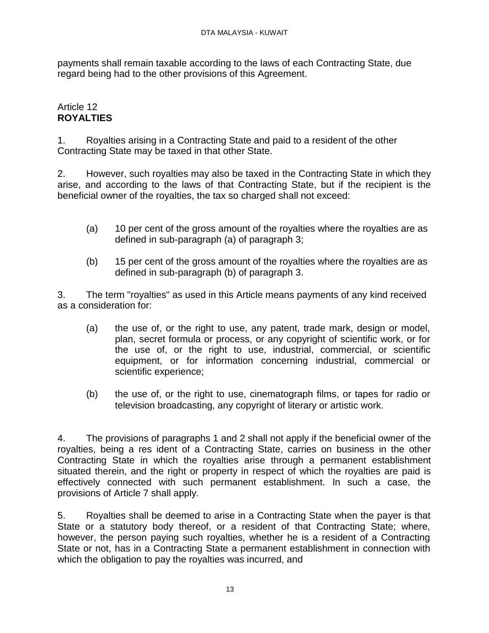payments shall remain taxable according to the laws of each Contracting State, due regard being had to the other provisions of this Agreement.

## Article 12 **ROYALTIES**

1. Royalties arising in a Contracting State and paid to a resident of the other Contracting State may be taxed in that other State.

2. However, such royalties may also be taxed in the Contracting State in which they arise, and according to the laws of that Contracting State, but if the recipient is the beneficial owner of the royalties, the tax so charged shall not exceed:

- (a) 10 per cent of the gross amount of the royalties where the royalties are as defined in sub-paragraph (a) of paragraph 3;
- (b) 15 per cent of the gross amount of the royalties where the royalties are as defined in sub-paragraph (b) of paragraph 3.

3. The term "royalties" as used in this Article means payments of any kind received as a consideration for:

- (a) the use of, or the right to use, any patent, trade mark, design or model, plan, secret formula or process, or any copyright of scientific work, or for the use of, or the right to use, industrial, commercial, or scientific equipment, or for information concerning industrial, commercial or scientific experience;
- (b) the use of, or the right to use, cinematograph films, or tapes for radio or television broadcasting, any copyright of literary or artistic work.

4. The provisions of paragraphs 1 and 2 shall not apply if the beneficial owner of the royalties, being a res ident of a Contracting State, carries on business in the other Contracting State in which the royalties arise through a permanent establishment situated therein, and the right or property in respect of which the royalties are paid is effectively connected with such permanent establishment. In such a case, the provisions of Article 7 shall apply.

5. Royalties shall be deemed to arise in a Contracting State when the payer is that State or a statutory body thereof, or a resident of that Contracting State; where, however, the person paying such royalties, whether he is a resident of a Contracting State or not, has in a Contracting State a permanent establishment in connection with which the obligation to pay the royalties was incurred, and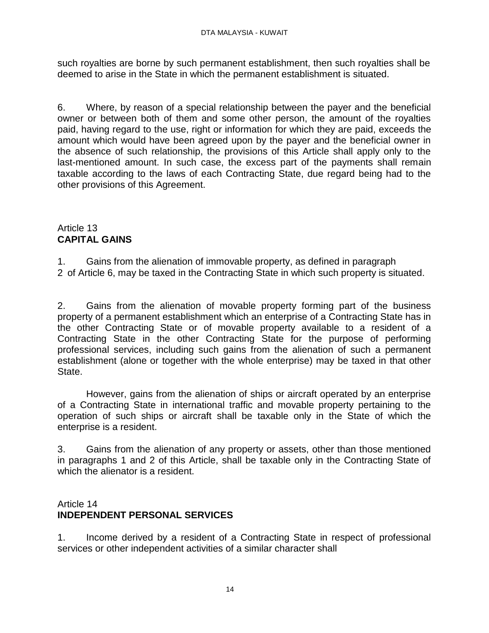such royalties are borne by such permanent establishment, then such royalties shall be deemed to arise in the State in which the permanent establishment is situated.

6. Where, by reason of a special relationship between the payer and the beneficial owner or between both of them and some other person, the amount of the royalties paid, having regard to the use, right or information for which they are paid, exceeds the amount which would have been agreed upon by the payer and the beneficial owner in the absence of such relationship, the provisions of this Article shall apply only to the last-mentioned amount. In such case, the excess part of the payments shall remain taxable according to the laws of each Contracting State, due regard being had to the other provisions of this Agreement.

# Article 13 **CAPITAL GAINS**

1. Gains from the alienation of immovable property, as defined in paragraph

2 of Article 6, may be taxed in the Contracting State in which such property is situated.

2. Gains from the alienation of movable property forming part of the business property of a permanent establishment which an enterprise of a Contracting State has in the other Contracting State or of movable property available to a resident of a Contracting State in the other Contracting State for the purpose of performing professional services, including such gains from the alienation of such a permanent establishment (alone or together with the whole enterprise) may be taxed in that other State.

However, gains from the alienation of ships or aircraft operated by an enterprise of a Contracting State in international traffic and movable property pertaining to the operation of such ships or aircraft shall be taxable only in the State of which the enterprise is a resident.

3. Gains from the alienation of any property or assets, other than those mentioned in paragraphs 1 and 2 of this Article, shall be taxable only in the Contracting State of which the alienator is a resident.

# Article 14 **INDEPENDENT PERSONAL SERVICES**

1. Income derived by a resident of a Contracting State in respect of professional services or other independent activities of a similar character shall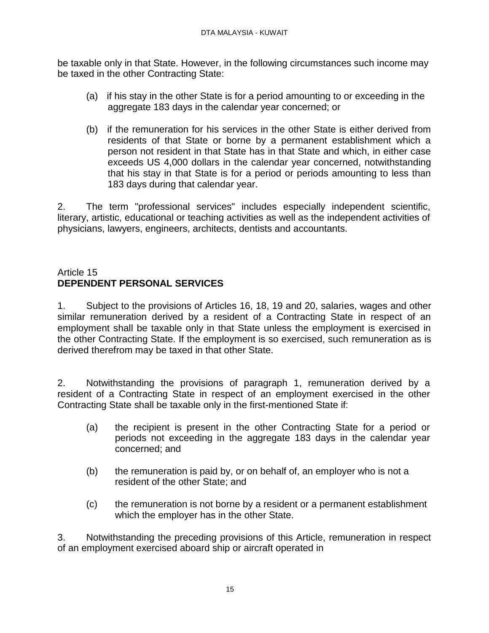be taxable only in that State. However, in the following circumstances such income may be taxed in the other Contracting State:

- (a) if his stay in the other State is for a period amounting to or exceeding in the aggregate 183 days in the calendar year concerned; or
- (b) if the remuneration for his services in the other State is either derived from residents of that State or borne by a permanent establishment which a person not resident in that State has in that State and which, in either case exceeds US 4,000 dollars in the calendar year concerned, notwithstanding that his stay in that State is for a period or periods amounting to less than 183 days during that calendar year.

2. The term "professional services" includes especially independent scientific, literary, artistic, educational or teaching activities as well as the independent activities of physicians, lawyers, engineers, architects, dentists and accountants.

## Article 15 **DEPENDENT PERSONAL SERVICES**

1. Subject to the provisions of Articles 16, 18, 19 and 20, salaries, wages and other similar remuneration derived by a resident of a Contracting State in respect of an employment shall be taxable only in that State unless the employment is exercised in the other Contracting State. If the employment is so exercised, such remuneration as is derived therefrom may be taxed in that other State.

2. Notwithstanding the provisions of paragraph 1, remuneration derived by a resident of a Contracting State in respect of an employment exercised in the other Contracting State shall be taxable only in the first-mentioned State if:

- (a) the recipient is present in the other Contracting State for a period or periods not exceeding in the aggregate 183 days in the calendar year concerned; and
- (b) the remuneration is paid by, or on behalf of, an employer who is not a resident of the other State; and
- (c) the remuneration is not borne by a resident or a permanent establishment which the employer has in the other State.

3. Notwithstanding the preceding provisions of this Article, remuneration in respect of an employment exercised aboard ship or aircraft operated in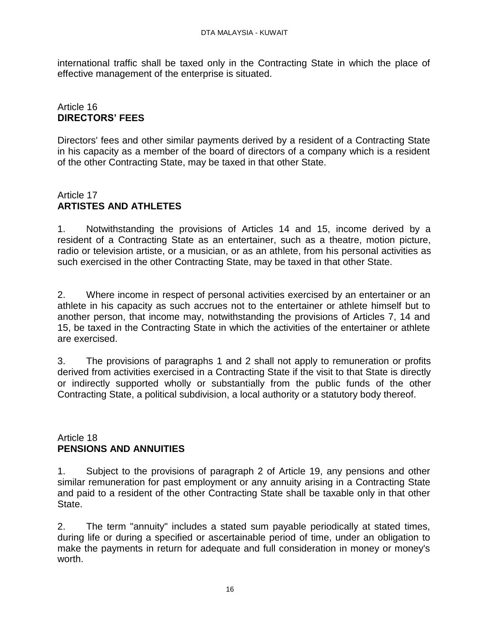international traffic shall be taxed only in the Contracting State in which the place of effective management of the enterprise is situated.

## Article 16 **DIRECTORS' FEES**

Directors' fees and other similar payments derived by a resident of a Contracting State in his capacity as a member of the board of directors of a company which is a resident of the other Contracting State, may be taxed in that other State.

## Article 17 **ARTISTES AND ATHLETES**

1. Notwithstanding the provisions of Articles 14 and 15, income derived by a resident of a Contracting State as an entertainer, such as a theatre, motion picture, radio or television artiste, or a musician, or as an athlete, from his personal activities as such exercised in the other Contracting State, may be taxed in that other State.

2. Where income in respect of personal activities exercised by an entertainer or an athlete in his capacity as such accrues not to the entertainer or athlete himself but to another person, that income may, notwithstanding the provisions of Articles 7, 14 and 15, be taxed in the Contracting State in which the activities of the entertainer or athlete are exercised.

3. The provisions of paragraphs 1 and 2 shall not apply to remuneration or profits derived from activities exercised in a Contracting State if the visit to that State is directly or indirectly supported wholly or substantially from the public funds of the other Contracting State, a political subdivision, a local authority or a statutory body thereof.

### Article 18 **PENSIONS AND ANNUITIES**

1. Subject to the provisions of paragraph 2 of Article 19, any pensions and other similar remuneration for past employment or any annuity arising in a Contracting State and paid to a resident of the other Contracting State shall be taxable only in that other State.

2. The term "annuity" includes a stated sum payable periodically at stated times, during life or during a specified or ascertainable period of time, under an obligation to make the payments in return for adequate and full consideration in money or money's worth.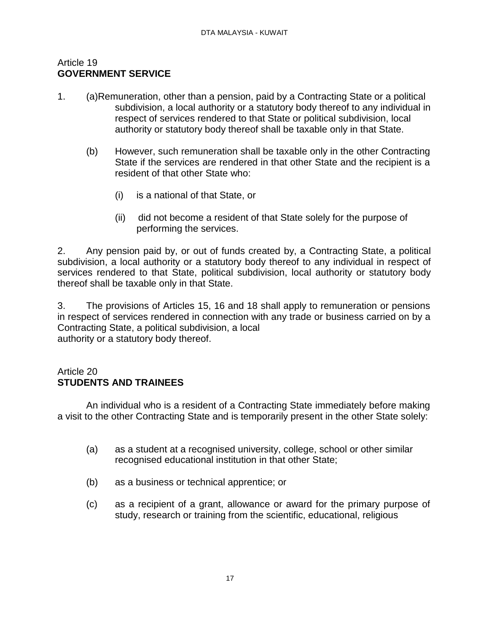#### Article 19 **GOVERNMENT SERVICE**

- 1. (a)Remuneration, other than a pension, paid by a Contracting State or a political subdivision, a local authority or a statutory body thereof to any individual in respect of services rendered to that State or political subdivision, local authority or statutory body thereof shall be taxable only in that State.
	- (b) However, such remuneration shall be taxable only in the other Contracting State if the services are rendered in that other State and the recipient is a resident of that other State who:
		- (i) is a national of that State, or
		- (ii) did not become a resident of that State solely for the purpose of performing the services.

2. Any pension paid by, or out of funds created by, a Contracting State, a political subdivision, a local authority or a statutory body thereof to any individual in respect of services rendered to that State, political subdivision, local authority or statutory body thereof shall be taxable only in that State.

3. The provisions of Articles 15, 16 and 18 shall apply to remuneration or pensions in respect of services rendered in connection with any trade or business carried on by a Contracting State, a political subdivision, a local authority or a statutory body thereof.

## Article 20 **STUDENTS AND TRAINEES**

An individual who is a resident of a Contracting State immediately before making a visit to the other Contracting State and is temporarily present in the other State solely:

- (a) as a student at a recognised university, college, school or other similar recognised educational institution in that other State;
- (b) as a business or technical apprentice; or
- (c) as a recipient of a grant, allowance or award for the primary purpose of study, research or training from the scientific, educational, religious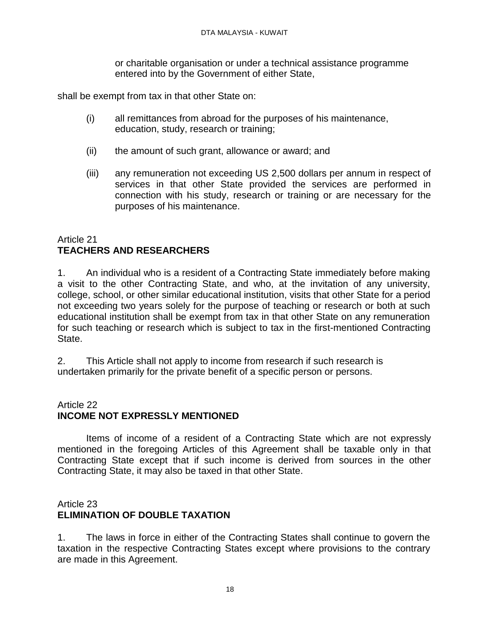or charitable organisation or under a technical assistance programme entered into by the Government of either State,

shall be exempt from tax in that other State on:

- (i) all remittances from abroad for the purposes of his maintenance, education, study, research or training;
- (ii) the amount of such grant, allowance or award; and
- (iii) any remuneration not exceeding US 2,500 dollars per annum in respect of services in that other State provided the services are performed in connection with his study, research or training or are necessary for the purposes of his maintenance.

## Article 21 **TEACHERS AND RESEARCHERS**

1. An individual who is a resident of a Contracting State immediately before making a visit to the other Contracting State, and who, at the invitation of any university, college, school, or other similar educational institution, visits that other State for a period not exceeding two years solely for the purpose of teaching or research or both at such educational institution shall be exempt from tax in that other State on any remuneration for such teaching or research which is subject to tax in the first-mentioned Contracting State.

2. This Article shall not apply to income from research if such research is undertaken primarily for the private benefit of a specific person or persons.

## Article 22 **INCOME NOT EXPRESSLY MENTIONED**

Items of income of a resident of a Contracting State which are not expressly mentioned in the foregoing Articles of this Agreement shall be taxable only in that Contracting State except that if such income is derived from sources in the other Contracting State, it may also be taxed in that other State.

## Article 23 **ELIMINATION OF DOUBLE TAXATION**

1. The laws in force in either of the Contracting States shall continue to govern the taxation in the respective Contracting States except where provisions to the contrary are made in this Agreement.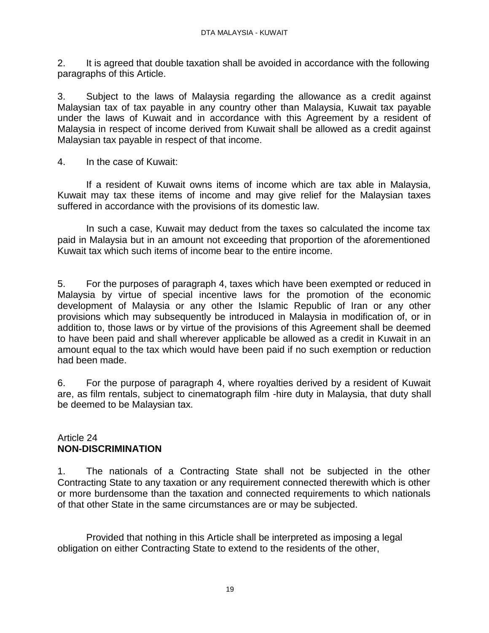2. It is agreed that double taxation shall be avoided in accordance with the following paragraphs of this Article.

3. Subject to the laws of Malaysia regarding the allowance as a credit against Malaysian tax of tax payable in any country other than Malaysia, Kuwait tax payable under the laws of Kuwait and in accordance with this Agreement by a resident of Malaysia in respect of income derived from Kuwait shall be allowed as a credit against Malaysian tax payable in respect of that income.

4. In the case of Kuwait:

If a resident of Kuwait owns items of income which are tax able in Malaysia, Kuwait may tax these items of income and may give relief for the Malaysian taxes suffered in accordance with the provisions of its domestic law.

In such a case, Kuwait may deduct from the taxes so calculated the income tax paid in Malaysia but in an amount not exceeding that proportion of the aforementioned Kuwait tax which such items of income bear to the entire income.

5. For the purposes of paragraph 4, taxes which have been exempted or reduced in Malaysia by virtue of special incentive laws for the promotion of the economic development of Malaysia or any other the Islamic Republic of Iran or any other provisions which may subsequently be introduced in Malaysia in modification of, or in addition to, those laws or by virtue of the provisions of this Agreement shall be deemed to have been paid and shall wherever applicable be allowed as a credit in Kuwait in an amount equal to the tax which would have been paid if no such exemption or reduction had been made.

6. For the purpose of paragraph 4, where royalties derived by a resident of Kuwait are, as film rentals, subject to cinematograph film -hire duty in Malaysia, that duty shall be deemed to be Malaysian tax.

## Article 24 **NON-DISCRIMINATION**

1. The nationals of a Contracting State shall not be subjected in the other Contracting State to any taxation or any requirement connected therewith which is other or more burdensome than the taxation and connected requirements to which nationals of that other State in the same circumstances are or may be subjected.

Provided that nothing in this Article shall be interpreted as imposing a legal obligation on either Contracting State to extend to the residents of the other,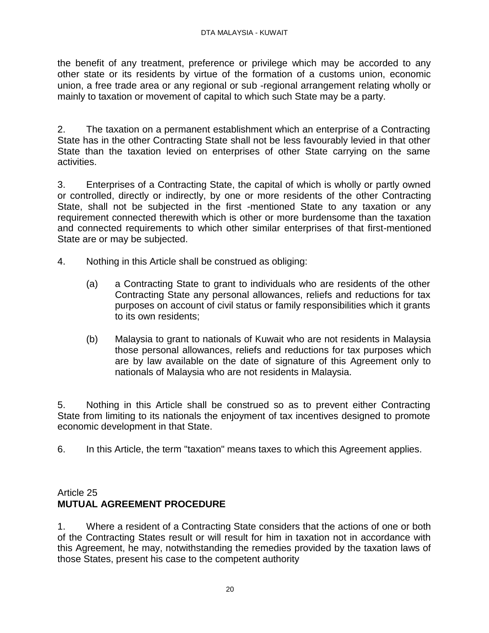the benefit of any treatment, preference or privilege which may be accorded to any other state or its residents by virtue of the formation of a customs union, economic union, a free trade area or any regional or sub -regional arrangement relating wholly or mainly to taxation or movement of capital to which such State may be a party.

2. The taxation on a permanent establishment which an enterprise of a Contracting State has in the other Contracting State shall not be less favourably levied in that other State than the taxation levied on enterprises of other State carrying on the same activities.

3. Enterprises of a Contracting State, the capital of which is wholly or partly owned or controlled, directly or indirectly, by one or more residents of the other Contracting State, shall not be subjected in the first -mentioned State to any taxation or any requirement connected therewith which is other or more burdensome than the taxation and connected requirements to which other similar enterprises of that first-mentioned State are or may be subjected.

- 4. Nothing in this Article shall be construed as obliging:
	- (a) a Contracting State to grant to individuals who are residents of the other Contracting State any personal allowances, reliefs and reductions for tax purposes on account of civil status or family responsibilities which it grants to its own residents;
	- (b) Malaysia to grant to nationals of Kuwait who are not residents in Malaysia those personal allowances, reliefs and reductions for tax purposes which are by law available on the date of signature of this Agreement only to nationals of Malaysia who are not residents in Malaysia.

5. Nothing in this Article shall be construed so as to prevent either Contracting State from limiting to its nationals the enjoyment of tax incentives designed to promote economic development in that State.

6. In this Article, the term "taxation" means taxes to which this Agreement applies.

# Article 25 **MUTUAL AGREEMENT PROCEDURE**

1. Where a resident of a Contracting State considers that the actions of one or both of the Contracting States result or will result for him in taxation not in accordance with this Agreement, he may, notwithstanding the remedies provided by the taxation laws of those States, present his case to the competent authority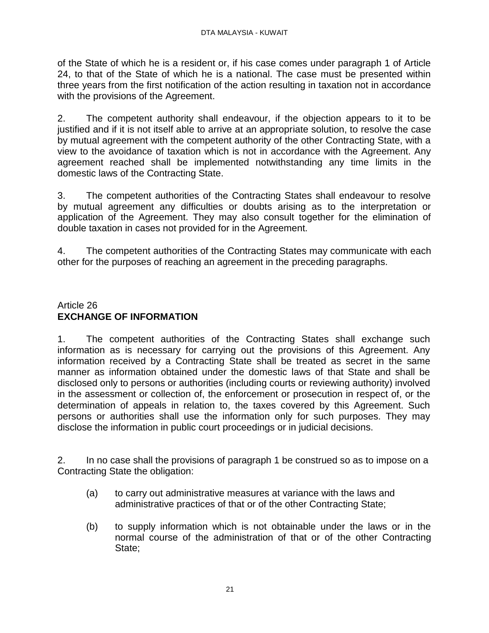of the State of which he is a resident or, if his case comes under paragraph 1 of Article 24, to that of the State of which he is a national. The case must be presented within three years from the first notification of the action resulting in taxation not in accordance with the provisions of the Agreement.

2. The competent authority shall endeavour, if the objection appears to it to be justified and if it is not itself able to arrive at an appropriate solution, to resolve the case by mutual agreement with the competent authority of the other Contracting State, with a view to the avoidance of taxation which is not in accordance with the Agreement. Any agreement reached shall be implemented notwithstanding any time limits in the domestic laws of the Contracting State.

3. The competent authorities of the Contracting States shall endeavour to resolve by mutual agreement any difficulties or doubts arising as to the interpretation or application of the Agreement. They may also consult together for the elimination of double taxation in cases not provided for in the Agreement.

4. The competent authorities of the Contracting States may communicate with each other for the purposes of reaching an agreement in the preceding paragraphs.

## Article 26 **EXCHANGE OF INFORMATION**

1. The competent authorities of the Contracting States shall exchange such information as is necessary for carrying out the provisions of this Agreement. Any information received by a Contracting State shall be treated as secret in the same manner as information obtained under the domestic laws of that State and shall be disclosed only to persons or authorities (including courts or reviewing authority) involved in the assessment or collection of, the enforcement or prosecution in respect of, or the determination of appeals in relation to, the taxes covered by this Agreement. Such persons or authorities shall use the information only for such purposes. They may disclose the information in public court proceedings or in judicial decisions.

2. In no case shall the provisions of paragraph 1 be construed so as to impose on a Contracting State the obligation:

- (a) to carry out administrative measures at variance with the laws and administrative practices of that or of the other Contracting State;
- (b) to supply information which is not obtainable under the laws or in the normal course of the administration of that or of the other Contracting State;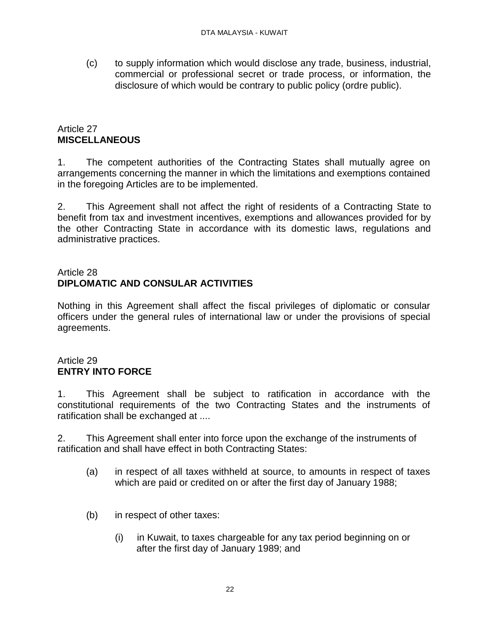(c) to supply information which would disclose any trade, business, industrial, commercial or professional secret or trade process, or information, the disclosure of which would be contrary to public policy (ordre public).

## Article 27 **MISCELLANEOUS**

1. The competent authorities of the Contracting States shall mutually agree on arrangements concerning the manner in which the limitations and exemptions contained in the foregoing Articles are to be implemented.

2. This Agreement shall not affect the right of residents of a Contracting State to benefit from tax and investment incentives, exemptions and allowances provided for by the other Contracting State in accordance with its domestic laws, regulations and administrative practices.

## Article 28 **DIPLOMATIC AND CONSULAR ACTIVITIES**

Nothing in this Agreement shall affect the fiscal privileges of diplomatic or consular officers under the general rules of international law or under the provisions of special agreements.

# Article 29 **ENTRY INTO FORCE**

1. This Agreement shall be subject to ratification in accordance with the constitutional requirements of the two Contracting States and the instruments of ratification shall be exchanged at ....

2. This Agreement shall enter into force upon the exchange of the instruments of ratification and shall have effect in both Contracting States:

- (a) in respect of all taxes withheld at source, to amounts in respect of taxes which are paid or credited on or after the first day of January 1988;
- (b) in respect of other taxes:
	- (i) in Kuwait, to taxes chargeable for any tax period beginning on or after the first day of January 1989; and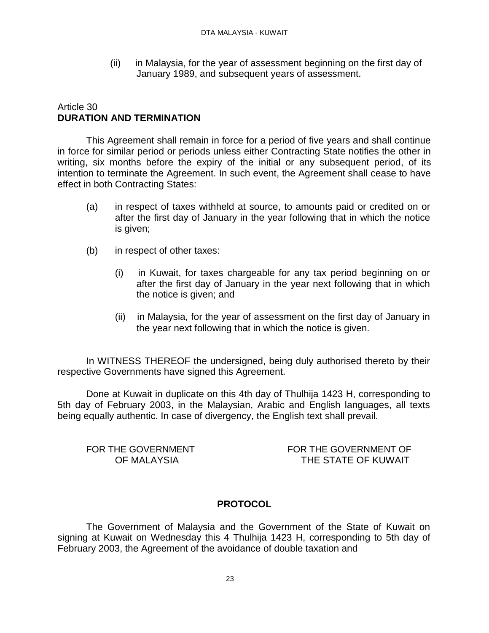(ii) in Malaysia, for the year of assessment beginning on the first day of January 1989, and subsequent years of assessment.

### Article 30 **DURATION AND TERMINATION**

This Agreement shall remain in force for a period of five years and shall continue in force for similar period or periods unless either Contracting State notifies the other in writing, six months before the expiry of the initial or any subsequent period, of its intention to terminate the Agreement. In such event, the Agreement shall cease to have effect in both Contracting States:

- (a) in respect of taxes withheld at source, to amounts paid or credited on or after the first day of January in the year following that in which the notice is given;
- (b) in respect of other taxes:
	- (i) in Kuwait, for taxes chargeable for any tax period beginning on or after the first day of January in the year next following that in which the notice is given; and
	- (ii) in Malaysia, for the year of assessment on the first day of January in the year next following that in which the notice is given.

In WITNESS THEREOF the undersigned, being duly authorised thereto by their respective Governments have signed this Agreement.

Done at Kuwait in duplicate on this 4th day of Thulhija 1423 H, corresponding to 5th day of February 2003, in the Malaysian, Arabic and English languages, all texts being equally authentic. In case of divergency, the English text shall prevail.

FOR THE GOVERNMENT OF MALAYSIA

FOR THE GOVERNMENT OF THE STATE OF KUWAIT

### **PROTOCOL**

The Government of Malaysia and the Government of the State of Kuwait on signing at Kuwait on Wednesday this 4 Thulhija 1423 H, corresponding to 5th day of February 2003, the Agreement of the avoidance of double taxation and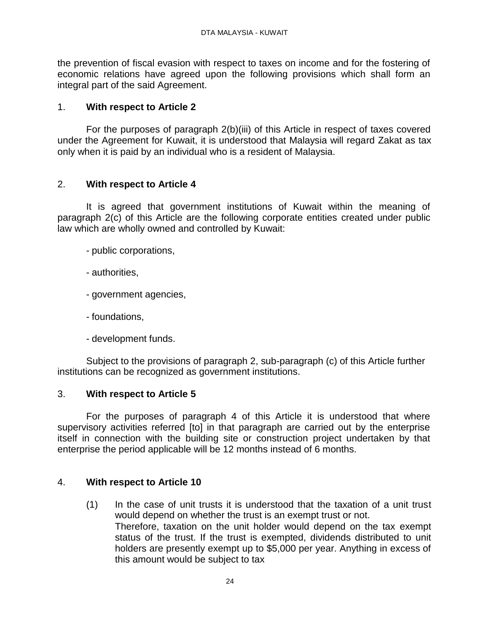the prevention of fiscal evasion with respect to taxes on income and for the fostering of economic relations have agreed upon the following provisions which shall form an integral part of the said Agreement.

## 1. **With respect to Article 2**

For the purposes of paragraph 2(b)(iii) of this Article in respect of taxes covered under the Agreement for Kuwait, it is understood that Malaysia will regard Zakat as tax only when it is paid by an individual who is a resident of Malaysia.

## 2. **With respect to Article 4**

It is agreed that government institutions of Kuwait within the meaning of paragraph 2(c) of this Article are the following corporate entities created under public law which are wholly owned and controlled by Kuwait:

- public corporations,
- authorities,
- government agencies,
- foundations,
- development funds.

Subject to the provisions of paragraph 2, sub-paragraph (c) of this Article further institutions can be recognized as government institutions.

### 3. **With respect to Article 5**

For the purposes of paragraph 4 of this Article it is understood that where supervisory activities referred [to] in that paragraph are carried out by the enterprise itself in connection with the building site or construction project undertaken by that enterprise the period applicable will be 12 months instead of 6 months.

### 4. **With respect to Article 10**

(1) In the case of unit trusts it is understood that the taxation of a unit trust would depend on whether the trust is an exempt trust or not. Therefore, taxation on the unit holder would depend on the tax exempt status of the trust. If the trust is exempted, dividends distributed to unit holders are presently exempt up to \$5,000 per year. Anything in excess of this amount would be subject to tax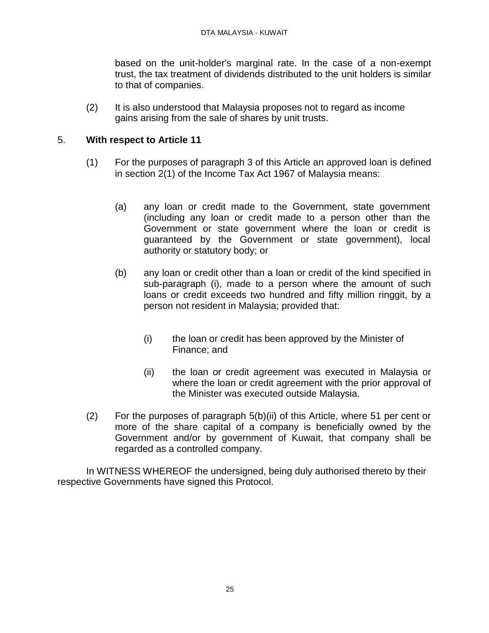based on the unit-holder's marginal rate. In the case of a non-exempt trust, the tax treatment of dividends distributed to the unit holders is similar to that of companies.

(2) It is also understood that Malaysia proposes not to regard as income gains arising from the sale of shares by unit trusts.

### 5. **With respect to Article 11**

- (1) For the purposes of paragraph 3 of this Article an approved loan is defined in section 2(1) of the Income Tax Act 1967 of Malaysia means:
	- (a) any loan or credit made to the Government, state government (including any loan or credit made to a person other than the Government or state government where the loan or credit is guaranteed by the Government or state government), local authority or statutory body; or
	- (b) any loan or credit other than a loan or credit of the kind specified in sub-paragraph (i), made to a person where the amount of such loans or credit exceeds two hundred and fifty million ringgit, by a person not resident in Malaysia; provided that:
		- (i) the loan or credit has been approved by the Minister of Finance; and
		- (ii) the loan or credit agreement was executed in Malaysia or where the loan or credit agreement with the prior approval of the Minister was executed outside Malaysia.
- (2) For the purposes of paragraph 5(b)(ii) of this Article, where 51 per cent or more of the share capital of a company is beneficially owned by the Government and/or by government of Kuwait, that company shall be regarded as a controlled company.

In WITNESS WHEREOF the undersigned, being duly authorised thereto by their respective Governments have signed this Protocol.